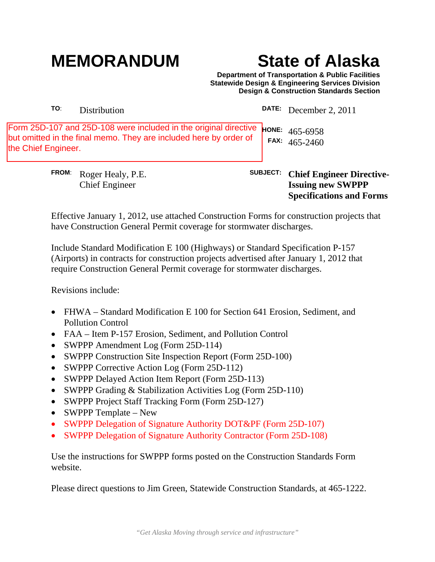## **MEMORANDUM State of Alaska**

**Specifications and Forms**

**Department of Transportation & Public Facilities Statewide Design & Engineering Services Division Design & Construction Standards Section**

| <b>FROM:</b>                                                                                                                                                 | Roger Healy, P.E.<br><b>Chief Engineer</b> | <b>SUBJECT:</b> | <b>Chief Engineer Directive-</b><br><b>Issuing new SWPPP</b> |
|--------------------------------------------------------------------------------------------------------------------------------------------------------------|--------------------------------------------|-----------------|--------------------------------------------------------------|
| Form 25D-107 and 25D-108 were included in the original directive<br>but omitted in the final memo. They are included here by order of<br>the Chief Engineer. |                                            |                 | <b>HONE:</b> $465-6958$<br>FAX: $465-2460$                   |
| TO:                                                                                                                                                          | Distribution                               | <b>DATE:</b>    | December 2, 2011                                             |

Effective January 1, 2012, use attached Construction Forms for construction projects that have Construction General Permit coverage for stormwater discharges.

Include Standard Modification E 100 (Highways) or Standard Specification P-157 (Airports) in contracts for construction projects advertised after January 1, 2012 that require Construction General Permit coverage for stormwater discharges.

Revisions include:

- FHWA Standard Modification E 100 for Section 641 Erosion, Sediment, and Pollution Control
- FAA Item P-157 Erosion, Sediment, and Pollution Control
- SWPPP Amendment Log (Form 25D-114)
- SWPPP Construction Site Inspection Report (Form 25D-100)
- SWPPP Corrective Action Log (Form 25D-112)
- SWPPP Delayed Action Item Report (Form 25D-113)
- SWPPP Grading & Stabilization Activities Log (Form 25D-110)
- SWPPP Project Staff Tracking Form (Form 25D-127)
- SWPPP Template New
- SWPPP Delegation of Signature Authority DOT&PF (Form 25D-107)
- SWPPP Delegation of Signature Authority Contractor (Form 25D-108)

Use the instructions for SWPPP forms posted on the Construction Standards Form website.

Please direct questions to Jim Green, Statewide Construction Standards, at 465-1222.